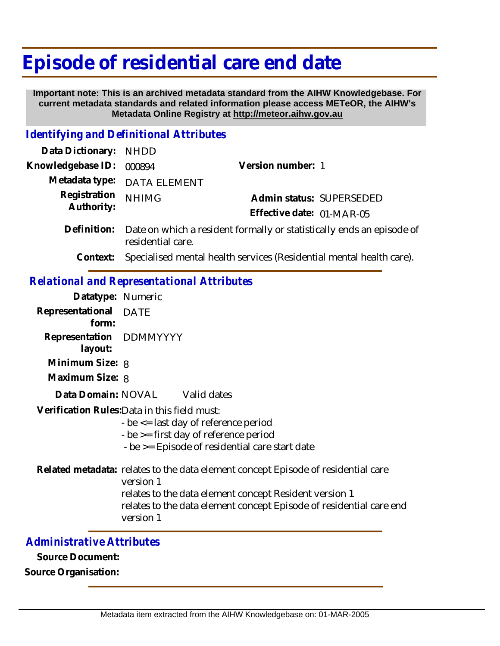# **Episode of residential care end date**

 **Important note: This is an archived metadata standard from the AIHW Knowledgebase. For current metadata standards and related information please access METeOR, the AIHW's Metadata Online Registry at http://meteor.aihw.gov.au**

#### *Identifying and Definitional Attributes*

| Data Dictionary: NHDD      |                             |                                                                                   |  |
|----------------------------|-----------------------------|-----------------------------------------------------------------------------------|--|
| Knowledgebase ID: 000894   |                             | Version number: 1                                                                 |  |
|                            | Metadata type: DATA ELEMENT |                                                                                   |  |
| Registration<br>Authority: | <b>NHIMG</b>                | Admin status: SUPERSEDED                                                          |  |
|                            |                             | Effective date: 01-MAR-05                                                         |  |
|                            |                             | Definition: Date on which a resident formally or statistically ends an episode of |  |

**Context:** Specialised mental health services (Residential mental health care).

### *Relational and Representational Attributes*

residential care.

| Datatype: Numeric                  |                                                                                                                                                                                                                             |
|------------------------------------|-----------------------------------------------------------------------------------------------------------------------------------------------------------------------------------------------------------------------------|
| Representational DATE<br>form:     |                                                                                                                                                                                                                             |
| Representation DDMMYYYY<br>layout: |                                                                                                                                                                                                                             |
| Minimum Size: 8                    |                                                                                                                                                                                                                             |
| Maximum Size: 8                    |                                                                                                                                                                                                                             |
|                                    | Data Domain: NOVAL Valid dates                                                                                                                                                                                              |
|                                    | Verification Rules: Data in this field must:<br>- be $\le$ = last day of reference period<br>- be $\ge$ = first day of reference period<br>- be > = Episode of residential care start date                                  |
|                                    | Related metadata: relates to the data element concept Episode of residential care<br>version 1<br>relates to the data element concept Resident version 1<br>relates to the data element concept Episode of residential care |

version 1

### *Administrative Attributes*

**Source Document:**

**Source Organisation:**

care end